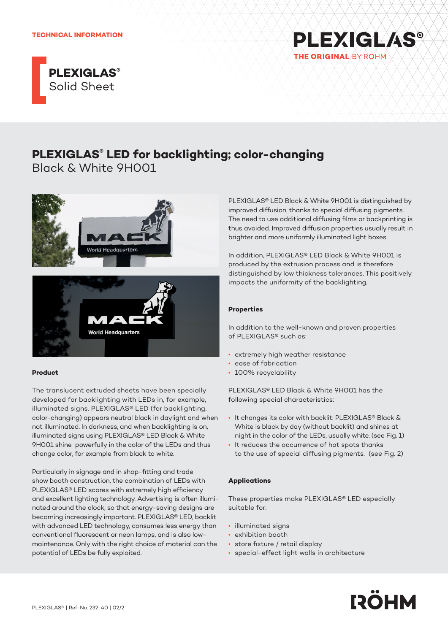



# **PLEXIGLAS® LED for backlighting; color-changing**

Black & White 9H001



## **Product**

The translucent extruded sheets have been specially developed for backlighting with LEDs in, for example, illuminated signs. PLEXIGLAS® LED (for backlighting, color-changing) appears neutral black in daylight and when not illuminated. In darkness, and when backlighting is on, illuminated signs using PLEXIGLAS® LED Black & White 9H001 shine powerfully in the color of the LEDs and thus change color, for example from black to white.

Particularly in signage and in shop-fitting and trade show booth construction, the combination of LEDs with PLEXIGLAS® LED scores with extremely high efficiency and excellent lighting technology. Advertising is often illuminated around the clock, so that energy-saving designs are becoming increasingly important. PLEXIGLAS® LED, backlit with advanced LED technology, consumes less energy than conventional fluorescent or neon lamps, and is also lowmaintenance. Only with the right choice of material can the potential of LEDs be fully exploited.

PLEXIGLAS® LED Black & White 9H001 is distinguished by improved diffusion, thanks to special diffusing pigments. The need to use additional diffusing films or backprinting is thus avoided. Improved diffusion properties usually result in brighter and more uniformly illuminated light boxes.

In addition, PLEXIGLAS® LED Black & White 9H001 is produced by the extrusion process and is therefore distinguished by low thickness tolerances. This positively impacts the uniformity of the backlighting.

## **Properties**

In addition to the well-known and proven properties of PLEXIGLAS® such as:

- extremely high weather resistance
- ease of fabrication
- 100% recyclability

PLEXIGLAS® LED Black & White 9H001 has the following special characteristics:

- It changes its color with backlit: PLEXIGLAS® Black & White is black by day (without backlit) and shines at night in the color of the LEDs, usually white. (see Fig. 1)
- It reduces the occurrence of hot spots thanks to the use of special diffusing pigments. (see Fig. 2)

## **Applications**

These properties make PLEXIGLAS® LED especially suitable for:

- illuminated signs
- exhibition booth
- store fixture / retail display
- special-effect light walls in architecture